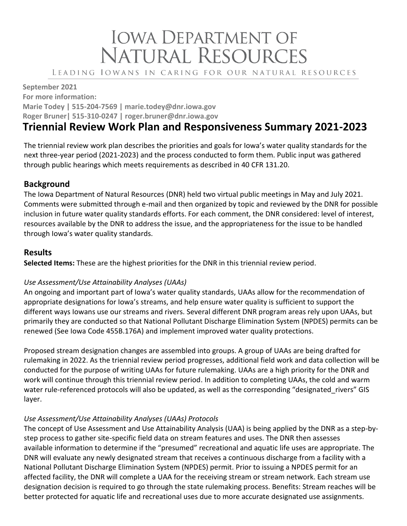# **IOWA DEPARTMENT OF** NATURAL RESOURCES

LEADING IOWANS IN CARING FOR OUR NATURAL RESOURCES

**September 2021 For more information: Marie Todey | 515-204-7569 | marie.todey@dnr.iowa.gov Roger Bruner| 515-310-0247 | roger.bruner@dnr.iowa.gov**

# **Triennial Review Work Plan and Responsiveness Summary 2021-2023**

The triennial review work plan describes the priorities and goals for Iowa's water quality standards for the next three-year period (2021-2023) and the process conducted to form them. Public input was gathered through public hearings which meets requirements as described in 40 CFR 131.20.

## **Background**

The Iowa Department of Natural Resources (DNR) held two virtual public meetings in May and July 2021. Comments were submitted through e-mail and then organized by topic and reviewed by the DNR for possible inclusion in future water quality standards efforts. For each comment, the DNR considered: level of interest, resources available by the DNR to address the issue, and the appropriateness for the issue to be handled through Iowa's water quality standards.

## **Results**

**Selected Items:** These are the highest priorities for the DNR in this triennial review period.

#### *Use Assessment/Use Attainability Analyses (UAAs)*

An ongoing and important part of Iowa's water quality standards, UAAs allow for the recommendation of appropriate designations for Iowa's streams, and help ensure water quality is sufficient to support the different ways Iowans use our streams and rivers. Several different DNR program areas rely upon UAAs, but primarily they are conducted so that National Pollutant Discharge Elimination System (NPDES) permits can be renewed (See Iowa Code 455B.176A) and implement improved water quality protections.

Proposed stream designation changes are assembled into groups. A group of UAAs are being drafted for rulemaking in 2022. As the triennial review period progresses, additional field work and data collection will be conducted for the purpose of writing UAAs for future rulemaking. UAAs are a high priority for the DNR and work will continue through this triennial review period. In addition to completing UAAs, the cold and warm water rule-referenced protocols will also be updated, as well as the corresponding "designated rivers" GIS layer.

#### *Use Assessment/Use Attainability Analyses (UAAs) Protocols*

The concept of Use Assessment and Use Attainability Analysis (UAA) is being applied by the DNR as a step-bystep process to gather site-specific field data on stream features and uses. The DNR then assesses available information to determine if the "presumed" recreational and aquatic life uses are appropriate. The DNR will evaluate any newly designated stream that receives a continuous discharge from a facility with a National Pollutant Discharge Elimination System (NPDES) permit. Prior to issuing a NPDES permit for an affected facility, the DNR will complete a UAA for the receiving stream or stream network. Each stream use designation decision is required to go through the state rulemaking process. Benefits: Stream reaches will be better protected for aquatic life and recreational uses due to more accurate designated use assignments.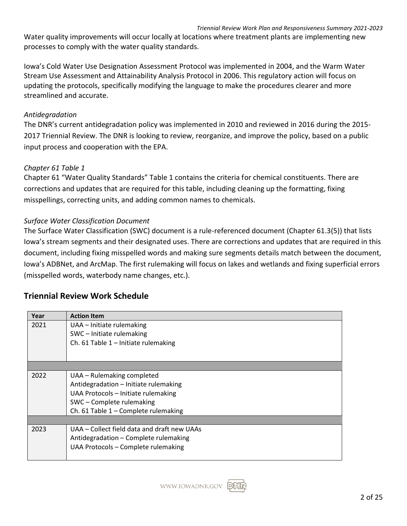Water quality improvements will occur locally at locations where treatment plants are implementing new processes to comply with the water quality standards.

Iowa's Cold Water Use Designation Assessment Protocol was implemented in 2004, and the Warm Water Stream Use Assessment and Attainability Analysis Protocol in 2006. This regulatory action will focus on updating the protocols, specifically modifying the language to make the procedures clearer and more streamlined and accurate.

#### *Antidegradation*

The DNR's current antidegradation policy was implemented in 2010 and reviewed in 2016 during the 2015- 2017 Triennial Review. The DNR is looking to review, reorganize, and improve the policy, based on a public input process and cooperation with the EPA.

#### *Chapter 61 Table 1*

Chapter 61 "Water Quality Standards" Table 1 contains the criteria for chemical constituents. There are corrections and updates that are required for this table, including cleaning up the formatting, fixing misspellings, correcting units, and adding common names to chemicals.

#### *Surface Water Classification Document*

The Surface Water Classification (SWC) document is a rule-referenced document (Chapter 61.3(5)) that lists Iowa's stream segments and their designated uses. There are corrections and updates that are required in this document, including fixing misspelled words and making sure segments details match between the document, Iowa's ADBNet, and ArcMap. The first rulemaking will focus on lakes and wetlands and fixing superficial errors (misspelled words, waterbody name changes, etc.).

# **Triennial Review Work Schedule**

| Year | <b>Action Item</b>                          |
|------|---------------------------------------------|
| 2021 | UAA - Initiate rulemaking                   |
|      | SWC - Initiate rulemaking                   |
|      | Ch. 61 Table 1 - Initiate rulemaking        |
|      |                                             |
|      |                                             |
| 2022 | UAA – Rulemaking completed                  |
|      | Antidegradation - Initiate rulemaking       |
|      | UAA Protocols - Initiate rulemaking         |
|      | SWC - Complete rulemaking                   |
|      | Ch. 61 Table 1 - Complete rulemaking        |
|      |                                             |
| 2023 | UAA - Collect field data and draft new UAAs |
|      | Antidegradation - Complete rulemaking       |
|      | UAA Protocols - Complete rulemaking         |
|      |                                             |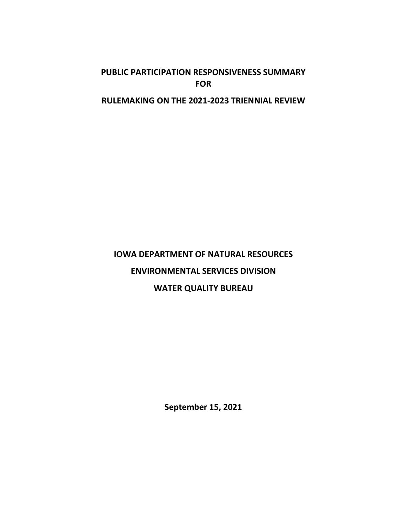# **PUBLIC PARTICIPATION RESPONSIVENESS SUMMARY FOR**

# **RULEMAKING ON THE 2021-2023 TRIENNIAL REVIEW**

# **IOWA DEPARTMENT OF NATURAL RESOURCES ENVIRONMENTAL SERVICES DIVISION WATER QUALITY BUREAU**

**September 15, 2021**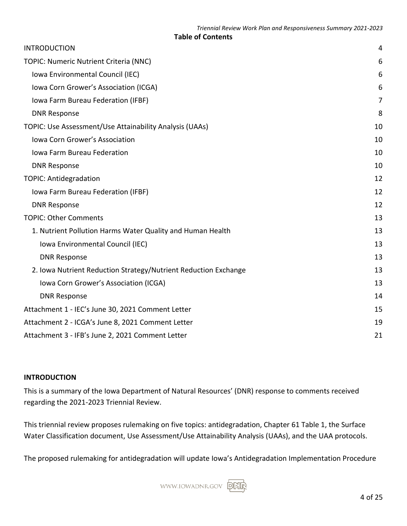#### **Table of Contents**

| <b>INTRODUCTION</b>                                             | 4  |
|-----------------------------------------------------------------|----|
| TOPIC: Numeric Nutrient Criteria (NNC)                          |    |
| Iowa Environmental Council (IEC)                                | 6  |
| Iowa Corn Grower's Association (ICGA)                           | 6  |
| Iowa Farm Bureau Federation (IFBF)                              | 7  |
| <b>DNR Response</b>                                             | 8  |
| TOPIC: Use Assessment/Use Attainability Analysis (UAAs)         | 10 |
| Iowa Corn Grower's Association                                  | 10 |
| Iowa Farm Bureau Federation                                     | 10 |
| <b>DNR Response</b>                                             | 10 |
| <b>TOPIC: Antidegradation</b>                                   | 12 |
| Iowa Farm Bureau Federation (IFBF)                              | 12 |
| <b>DNR Response</b>                                             | 12 |
| <b>TOPIC: Other Comments</b>                                    | 13 |
| 1. Nutrient Pollution Harms Water Quality and Human Health      | 13 |
| Iowa Environmental Council (IEC)                                | 13 |
| <b>DNR Response</b>                                             | 13 |
| 2. Iowa Nutrient Reduction Strategy/Nutrient Reduction Exchange | 13 |
| Iowa Corn Grower's Association (ICGA)                           | 13 |
| <b>DNR Response</b>                                             | 14 |
| Attachment 1 - IEC's June 30, 2021 Comment Letter               | 15 |
| Attachment 2 - ICGA's June 8, 2021 Comment Letter               |    |
| Attachment 3 - IFB's June 2, 2021 Comment Letter                |    |

#### <span id="page-3-0"></span>**INTRODUCTION**

This is a summary of the Iowa Department of Natural Resources' (DNR) response to comments received regarding the 2021-2023 Triennial Review.

This triennial review proposes rulemaking on five topics: antidegradation, Chapter 61 Table 1, the Surface Water Classification document, Use Assessment/Use Attainability Analysis (UAAs), and the UAA protocols.

The proposed rulemaking for antidegradation will update Iowa's Antidegradation Implementation Procedure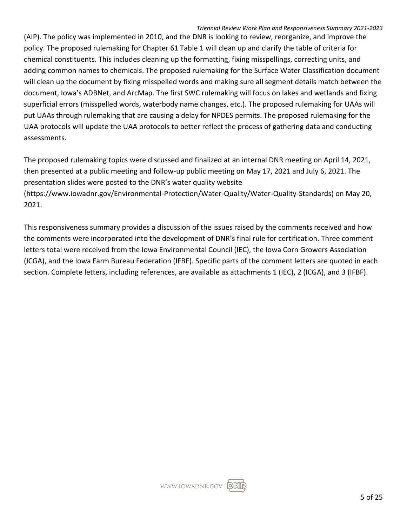#### *Triennial Review Work Plan and Responsiveness Summary 2021-2023*

(AIP). The policy was implemented in 2010, and the DNR is looking to review, reorganize, and improve the policy. The proposed rulemaking for Chapter 61 Table 1 will clean up and clarify the table of criteria for chemical constituents. This includes cleaning up the formatting, fixing misspellings, correcting units, and adding common names to chemicals. The proposed rulemaking for the Surface Water Classification document will clean up the document by fixing misspelled words and making sure all segment details match between the document, Iowa's ADBNet, and ArcMap. The first SWC rulemaking will focus on lakes and wetlands and fixing superficial errors (misspelled words, waterbody name changes, etc.). The proposed rulemaking for UAAs will put UAAs through rulemaking that are causing a delay for NPDES permits. The proposed rulemaking for the UAA protocols will update the UAA protocols to better reflect the process of gathering data and conducting assessments.

The proposed rulemaking topics were discussed and finalized at an internal DNR meeting on April 14, 2021, then presented at a public meeting and follow-up public meeting on May 17, 2021 and July 6, 2021. The presentation slides were posted to the DNR's water quality website (https://www.iowadnr.gov/Environmental-Protection/Water-Quality/Water-Quality-Standards) on May 20, 2021.

This responsiveness summary provides a discussion of the issues raised by the comments received and how the comments were incorporated into the development of DNR's final rule for certification. Three comment letters total were received from the Iowa Environmental Council (IEC), the Iowa Corn Growers Association (ICGA), and the Iowa Farm Bureau Federation (IFBF). Specific parts of the comment letters are quoted in each section. Complete letters, including references, are available as attachments 1 (IEC), 2 (ICGA), and 3 (IFBF).

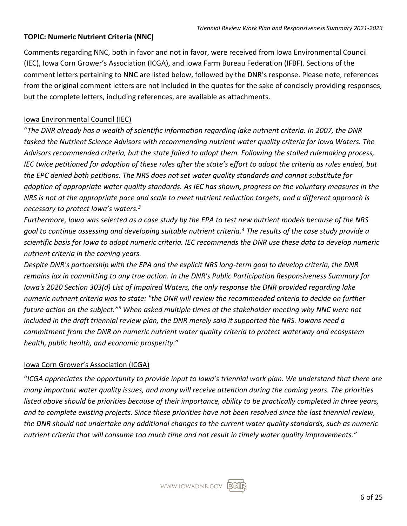#### <span id="page-5-0"></span>**TOPIC: Numeric Nutrient Criteria (NNC)**

Comments regarding NNC, both in favor and not in favor, were received from Iowa Environmental Council (IEC), Iowa Corn Grower's Association (ICGA), and Iowa Farm Bureau Federation (IFBF). Sections of the comment letters pertaining to NNC are listed below, followed by the DNR's response. Please note, references from the original comment letters are not included in the quotes for the sake of concisely providing responses, but the complete letters, including references, are available as attachments.

#### <span id="page-5-1"></span>Iowa Environmental Council (IEC)

"*The DNR already has a wealth of scientific information regarding lake nutrient criteria. In 2007, the DNR tasked the Nutrient Science Advisors with recommending nutrient water quality criteria for Iowa Waters. The Advisors recommended criteria, but the state failed to adopt them. Following the stalled rulemaking process, IEC twice petitioned for adoption of these rules after the state's effort to adopt the criteria as rules ended, but the EPC denied both petitions. The NRS does not set water quality standards and cannot substitute for adoption of appropriate water quality standards. As IEC has shown, progress on the voluntary measures in the NRS is not at the appropriate pace and scale to meet nutrient reduction targets, and a different approach is necessary to protect Iowa's waters.<sup>3</sup>*

*Furthermore, Iowa was selected as a case study by the EPA to test new nutrient models because of the NRS goal to continue assessing and developing suitable nutrient criteria.<sup>4</sup> The results of the case study provide a scientific basis for Iowa to adopt numeric criteria. IEC recommends the DNR use these data to develop numeric nutrient criteria in the coming years.*

*Despite DNR's partnership with the EPA and the explicit NRS long-term goal to develop criteria, the DNR remains lax in committing to any true action. In the DNR's Public Participation Responsiveness Summary for Iowa's 2020 Section 303(d) List of Impaired Waters, the only response the DNR provided regarding lake numeric nutrient criteria was to state: "the DNR will review the recommended criteria to decide on further future action on the subject."<sup>5</sup> When asked multiple times at the stakeholder meeting why NNC were not included in the draft triennial review plan, the DNR merely said it supported the NRS. Iowans need a commitment from the DNR on numeric nutrient water quality criteria to protect waterway and ecosystem health, public health, and economic prosperity.*"

#### <span id="page-5-2"></span>Iowa Corn Grower's Association (ICGA)

"*ICGA appreciates the opportunity to provide input to Iowa's triennial work plan. We understand that there are many important water quality issues, and many will receive attention during the coming years. The priorities listed above should be priorities because of their importance, ability to be practically completed in three years, and to complete existing projects. Since these priorities have not been resolved since the last triennial review, the DNR should not undertake any additional changes to the current water quality standards, such as numeric nutrient criteria that will consume too much time and not result in timely water quality improvements.*"

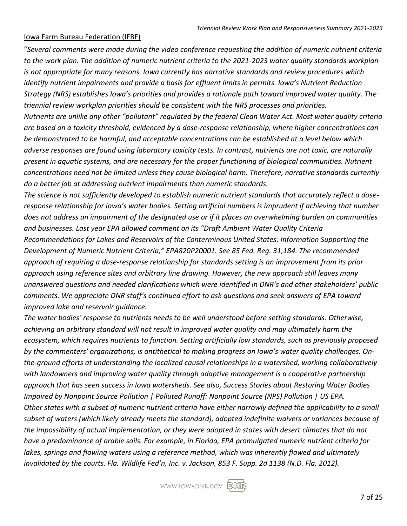#### <span id="page-6-0"></span>Iowa Farm Bureau Federation (IFBF)

"*Several comments were made during the video conference requesting the addition of numeric nutrient criteria to the work plan. The addition of numeric nutrient criteria to the 2021-2023 water quality standards workplan is not appropriate for many reasons. Iowa currently has narrative standards and review procedures which identify nutrient impairments and provide a basis for effluent limits in permits. Iowa's Nutrient Reduction Strategy (NRS) establishes Iowa's priorities and provides a rationale path toward improved water quality. The triennial review workplan priorities should be consistent with the NRS processes and priorities. Nutrients are unlike any other "pollutant" regulated by the federal Clean Water Act. Most water quality criteria are based on a toxicity threshold, evidenced by a dose-response relationship, where higher concentrations can be demonstrated to be harmful, and acceptable concentrations can be established at a level below which adverse responses are found using laboratory toxicity tests. In contrast, nutrients are not toxic, are naturally present in aquatic systems, and are necessary for the proper functioning of biological communities. Nutrient concentrations need not be limited unless they cause biological harm. Therefore, narrative standards currently do a better job at addressing nutrient impairments than numeric standards.*

*The science is not sufficiently developed to establish numeric nutrient standards that accurately reflect a doseresponse relationship for Iowa's water bodies. Setting artificial numbers is imprudent if achieving that number does not address an impairment of the designated use or if it places an overwhelming burden on communities and businesses. Last year EPA allowed comment on its "Draft Ambient Water Quality Criteria Recommendations for Lakes and Reservoirs of the Conterminous United States: Information Supporting the* 

*Development of Numeric Nutrient Criteria," EPA820P20001. See 85 Fed. Reg. 31,184. The recommended approach of requiring a dose-response relationship for standards setting is an improvement from its prior approach using reference sites and arbitrary line drawing. However, the new approach still leaves many unanswered questions and needed clarifications which were identified in DNR's and other stakeholders' public comments. We appreciate DNR staff's continued effort to ask questions and seek answers of EPA toward improved lake and reservoir guidance.* 

*The water bodies' response to nutrients needs to be well understood before setting standards. Otherwise, achieving an arbitrary standard will not result in improved water quality and may ultimately harm the ecosystem, which requires nutrients to function. Setting artificially low standards, such as previously proposed by the commenters' organizations, is antithetical to making progress on Iowa's water quality challenges. Onthe-ground efforts at understanding the localized causal relationships in a watershed, working collaboratively with landowners and improving water quality through adaptive management is a cooperative partnership approach that has seen success in Iowa watersheds. See also, Success Stories about Restoring Water Bodies Impaired by Nonpoint Source Pollution | Polluted Runoff: Nonpoint Source (NPS) Pollution | US EPA. Other states with a subset of numeric nutrient criteria have either narrowly defined the applicability to a small subset of waters (which likely already meets the standard), adopted indefinite waivers or variances because of the impossibility of actual implementation, or they were adopted in states with desert climates that do not have a predominance of arable soils. For example, in Florida, EPA promulgated numeric nutrient criteria for lakes, springs and flowing waters using a reference method, which was inherently flawed and ultimately invalidated by the courts. Fla. Wildlife Fed'n, Inc. v. Jackson, 853 F. Supp. 2d 1138 (N.D. Fla. 2012).* 

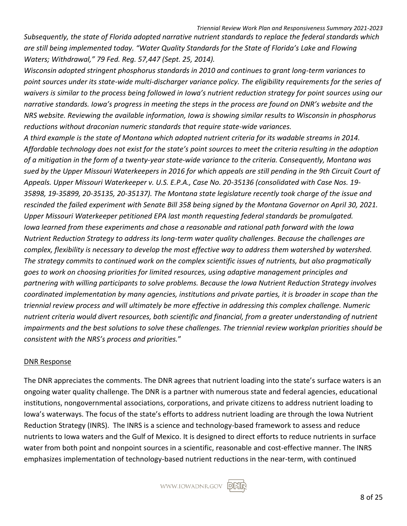*Subsequently, the state of Florida adopted narrative nutrient standards to replace the federal standards which are still being implemented today. "Water Quality Standards for the State of Florida's Lake and Flowing Waters; Withdrawal," 79 Fed. Reg. 57,447 (Sept. 25, 2014).*

*Wisconsin adopted stringent phosphorus standards in 2010 and continues to grant long-term variances to*  point sources under its state-wide multi-discharger variance policy. The eligibility requirements for the series of *waivers is similar to the process being followed in Iowa's nutrient reduction strategy for point sources using our narrative standards. Iowa's progress in meeting the steps in the process are found on DNR's website and the NRS website. Reviewing the available information, Iowa is showing similar results to Wisconsin in phosphorus reductions without draconian numeric standards that require state-wide variances.*

*A third example is the state of Montana which adopted nutrient criteria for its wadable streams in 2014. Affordable technology does not exist for the state's point sources to meet the criteria resulting in the adoption of a mitigation in the form of a twenty-year state-wide variance to the criteria. Consequently, Montana was sued by the Upper Missouri Waterkeepers in 2016 for which appeals are still pending in the 9th Circuit Court of Appeals. Upper Missouri Waterkeeper v. U.S. E.P.A., Case No. 20-35136 (consolidated with Case Nos. 19- 35898, 19-35899, 20-35135, 20-35137). The Montana state legislature recently took charge of the issue and rescinded the failed experiment with Senate Bill 358 being signed by the Montana Governor on April 30, 2021. Upper Missouri Waterkeeper petitioned EPA last month requesting federal standards be promulgated. Iowa learned from these experiments and chose a reasonable and rational path forward with the Iowa Nutrient Reduction Strategy to address its long-term water quality challenges. Because the challenges are complex, flexibility is necessary to develop the most effective way to address them watershed by watershed. The strategy commits to continued work on the complex scientific issues of nutrients, but also pragmatically goes to work on choosing priorities for limited resources, using adaptive management principles and partnering with willing participants to solve problems. Because the Iowa Nutrient Reduction Strategy involves coordinated implementation by many agencies, institutions and private parties, it is broader in scope than the triennial review process and will ultimately be more effective in addressing this complex challenge. Numeric nutrient criteria would divert resources, both scientific and financial, from a greater understanding of nutrient impairments and the best solutions to solve these challenges. The triennial review workplan priorities should be consistent with the NRS's process and priorities.*"

#### <span id="page-7-0"></span>DNR Response

The DNR appreciates the comments. The DNR agrees that nutrient loading into the state's surface waters is an ongoing water quality challenge. The DNR is a partner with numerous state and federal agencies, educational institutions, nongovernmental associations, corporations, and private citizens to address nutrient loading to Iowa's waterways. The focus of the state's efforts to address nutrient loading are through the Iowa Nutrient Reduction Strategy (INRS). The INRS is a science and technology-based framework to assess and reduce nutrients to Iowa waters and the Gulf of Mexico. It is designed to direct efforts to reduce nutrients in surface water from both point and nonpoint sources in a scientific, reasonable and cost-effective manner. The INRS emphasizes implementation of technology-based nutrient reductions in the near-term, with continued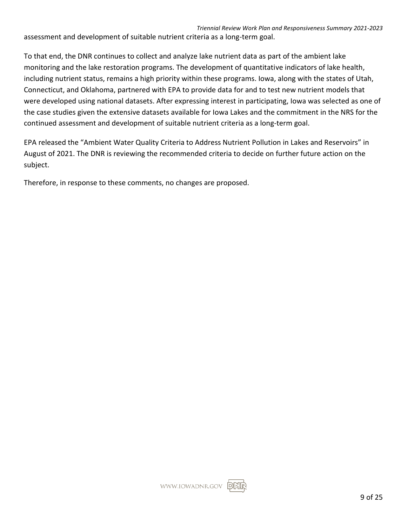assessment and development of suitable nutrient criteria as a long-term goal.

To that end, the DNR continues to collect and analyze lake nutrient data as part of the ambient lake monitoring and the lake restoration programs. The development of quantitative indicators of lake health, including nutrient status, remains a high priority within these programs. Iowa, along with the states of Utah, Connecticut, and Oklahoma, partnered with EPA to provide data for and to test new nutrient models that were developed using national datasets. After expressing interest in participating, Iowa was selected as one of the case studies given the extensive datasets available for Iowa Lakes and the commitment in the NRS for the continued assessment and development of suitable nutrient criteria as a long-term goal.

EPA released the "Ambient Water Quality Criteria to Address Nutrient Pollution in Lakes and Reservoirs" in August of 2021. The DNR is reviewing the recommended criteria to decide on further future action on the subject.

Therefore, in response to these comments, no changes are proposed.

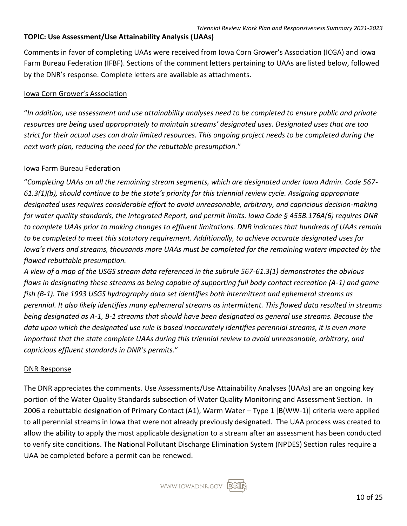#### <span id="page-9-0"></span>**TOPIC: Use Assessment/Use Attainability Analysis (UAAs)**

Comments in favor of completing UAAs were received from Iowa Corn Grower's Association (ICGA) and Iowa Farm Bureau Federation (IFBF). Sections of the comment letters pertaining to UAAs are listed below, followed by the DNR's response. Complete letters are available as attachments.

#### <span id="page-9-1"></span>Iowa Corn Grower's Association

"*In addition, use assessment and use attainability analyses need to be completed to ensure public and private resources are being used appropriately to maintain streams' designated uses. Designated uses that are too strict for their actual uses can drain limited resources. This ongoing project needs to be completed during the next work plan, reducing the need for the rebuttable presumption.*"

#### <span id="page-9-2"></span>Iowa Farm Bureau Federation

"*Completing UAAs on all the remaining stream segments, which are designated under Iowa Admin. Code 567- 61.3(1)(b), should continue to be the state's priority for this triennial review cycle. Assigning appropriate designated uses requires considerable effort to avoid unreasonable, arbitrary, and capricious decision-making for water quality standards, the Integrated Report, and permit limits. Iowa Code § 455B.176A(6) requires DNR to complete UAAs prior to making changes to effluent limitations. DNR indicates that hundreds of UAAs remain to be completed to meet this statutory requirement. Additionally, to achieve accurate designated uses for Iowa's rivers and streams, thousands more UAAs must be completed for the remaining waters impacted by the flawed rebuttable presumption.*

*A view of a map of the USGS stream data referenced in the subrule 567-61.3(1) demonstrates the obvious flaws in designating these streams as being capable of supporting full body contact recreation (A-1) and game fish (B-1). The 1993 USGS hydrography data set identifies both intermittent and ephemeral streams as perennial. It also likely identifies many ephemeral streams as intermittent. This flawed data resulted in streams being designated as A-1, B-1 streams that should have been designated as general use streams. Because the data upon which the designated use rule is based inaccurately identifies perennial streams, it is even more important that the state complete UAAs during this triennial review to avoid unreasonable, arbitrary, and capricious effluent standards in DNR's permits.*"

#### <span id="page-9-3"></span>DNR Response

The DNR appreciates the comments. Use Assessments/Use Attainability Analyses (UAAs) are an ongoing key portion of the Water Quality Standards subsection of Water Quality Monitoring and Assessment Section. In 2006 a rebuttable designation of Primary Contact (A1), Warm Water – Type 1 [B(WW-1)] criteria were applied to all perennial streams in Iowa that were not already previously designated. The UAA process was created to allow the ability to apply the most applicable designation to a stream after an assessment has been conducted to verify site conditions. The National Pollutant Discharge Elimination System (NPDES) Section rules require a UAA be completed before a permit can be renewed.

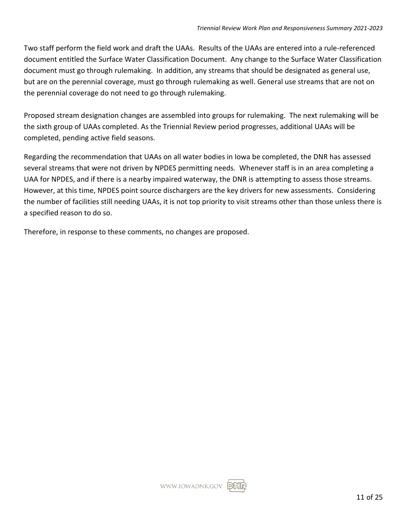Two staff perform the field work and draft the UAAs. Results of the UAAs are entered into a rule-referenced document entitled the Surface Water Classification Document. Any change to the Surface Water Classification document must go through rulemaking. In addition, any streams that should be designated as general use, but are on the perennial coverage, must go through rulemaking as well. General use streams that are not on the perennial coverage do not need to go through rulemaking.

Proposed stream designation changes are assembled into groups for rulemaking. The next rulemaking will be the sixth group of UAAs completed. As the Triennial Review period progresses, additional UAAs will be completed, pending active field seasons.

Regarding the recommendation that UAAs on all water bodies in Iowa be completed, the DNR has assessed several streams that were not driven by NPDES permitting needs. Whenever staff is in an area completing a UAA for NPDES, and if there is a nearby impaired waterway, the DNR is attempting to assess those streams. However, at this time, NPDES point source dischargers are the key drivers for new assessments. Considering the number of facilities still needing UAAs, it is not top priority to visit streams other than those unless there is a specified reason to do so.

Therefore, in response to these comments, no changes are proposed.

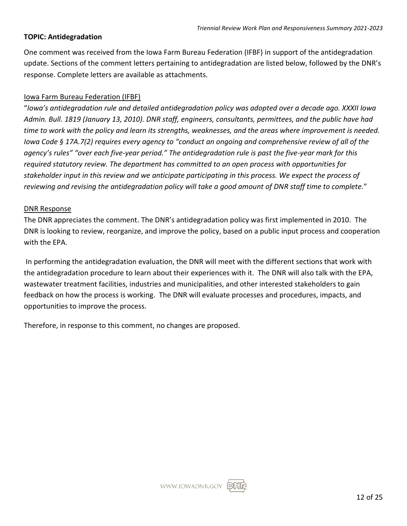#### <span id="page-11-0"></span>**TOPIC: Antidegradation**

One comment was received from the Iowa Farm Bureau Federation (IFBF) in support of the antidegradation update. Sections of the comment letters pertaining to antidegradation are listed below, followed by the DNR's response. Complete letters are available as attachments.

#### <span id="page-11-1"></span>Iowa Farm Bureau Federation (IFBF)

"*Iowa's antidegradation rule and detailed antidegradation policy was adopted over a decade ago. XXXII Iowa Admin. Bull. 1819 (January 13, 2010). DNR staff, engineers, consultants, permittees, and the public have had time to work with the policy and learn its strengths, weaknesses, and the areas where improvement is needed. Iowa Code § 17A.7(2) requires every agency to "conduct an ongoing and comprehensive review of all of the agency's rules" "over each five-year period." The antidegradation rule is past the five-year mark for this required statutory review. The department has committed to an open process with opportunities for stakeholder input in this review and we anticipate participating in this process. We expect the process of reviewing and revising the antidegradation policy will take a good amount of DNR staff time to complete.*"

#### <span id="page-11-2"></span>DNR Response

The DNR appreciates the comment. The DNR's antidegradation policy was first implemented in 2010. The DNR is looking to review, reorganize, and improve the policy, based on a public input process and cooperation with the EPA.

In performing the antidegradation evaluation, the DNR will meet with the different sections that work with the antidegradation procedure to learn about their experiences with it. The DNR will also talk with the EPA, wastewater treatment facilities, industries and municipalities, and other interested stakeholders to gain feedback on how the process is working. The DNR will evaluate processes and procedures, impacts, and opportunities to improve the process.

Therefore, in response to this comment, no changes are proposed.

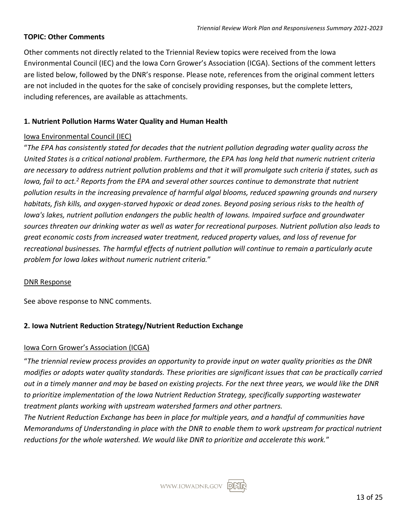#### <span id="page-12-0"></span>**TOPIC: Other Comments**

Other comments not directly related to the Triennial Review topics were received from the Iowa Environmental Council (IEC) and the Iowa Corn Grower's Association (ICGA). Sections of the comment letters are listed below, followed by the DNR's response. Please note, references from the original comment letters are not included in the quotes for the sake of concisely providing responses, but the complete letters, including references, are available as attachments.

#### <span id="page-12-1"></span>**1. Nutrient Pollution Harms Water Quality and Human Health**

#### <span id="page-12-2"></span>Iowa Environmental Council (IEC)

"*The EPA has consistently stated for decades that the nutrient pollution degrading water quality across the United States is a critical national problem. Furthermore, the EPA has long held that numeric nutrient criteria are necessary to address nutrient pollution problems and that it will promulgate such criteria if states, such as Iowa, fail to act.<sup>2</sup> Reports from the EPA and several other sources continue to demonstrate that nutrient pollution results in the increasing prevalence of harmful algal blooms, reduced spawning grounds and nursery habitats, fish kills, and oxygen-starved hypoxic or dead zones. Beyond posing serious risks to the health of Iowa's lakes, nutrient pollution endangers the public health of Iowans. Impaired surface and groundwater sources threaten our drinking water as well as water for recreational purposes. Nutrient pollution also leads to great economic costs from increased water treatment, reduced property values, and loss of revenue for recreational businesses. The harmful effects of nutrient pollution will continue to remain a particularly acute problem for Iowa lakes without numeric nutrient criteria.*"

#### <span id="page-12-3"></span>DNR Response

See above response to NNC comments.

#### <span id="page-12-4"></span>**2. Iowa Nutrient Reduction Strategy/Nutrient Reduction Exchange**

#### <span id="page-12-5"></span>Iowa Corn Grower's Association (ICGA)

"*The triennial review process provides an opportunity to provide input on water quality priorities as the DNR modifies or adopts water quality standards. These priorities are significant issues that can be practically carried out in a timely manner and may be based on existing projects. For the next three years, we would like the DNR to prioritize implementation of the Iowa Nutrient Reduction Strategy, specifically supporting wastewater treatment plants working with upstream watershed farmers and other partners.*

*The Nutrient Reduction Exchange has been in place for multiple years, and a handful of communities have Memorandums of Understanding in place with the DNR to enable them to work upstream for practical nutrient reductions for the whole watershed. We would like DNR to prioritize and accelerate this work.*"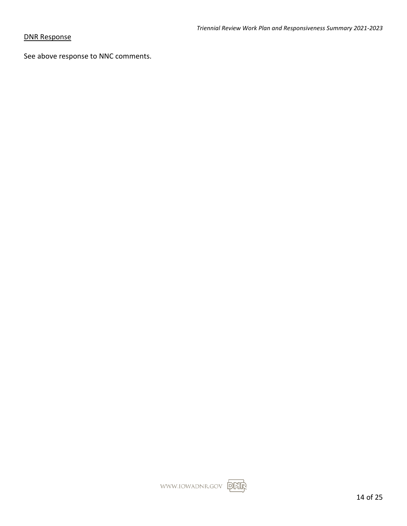#### <span id="page-13-0"></span>DNR Response

See above response to NNC comments.

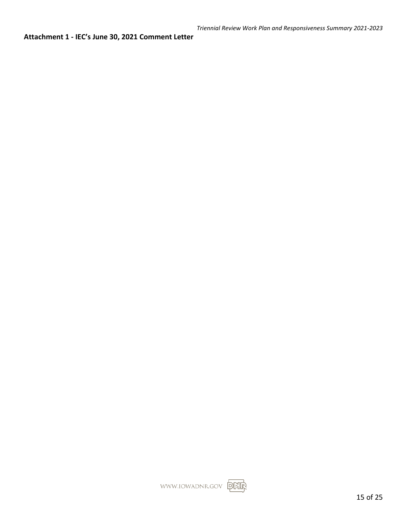<span id="page-14-0"></span>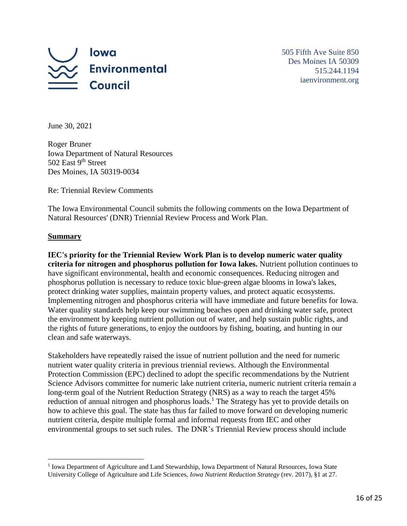

505 Fifth Ave Suite 850 Des Moines IA 50309 515.244.1194 iaenvironment.org

June 30, 2021

Roger Bruner Iowa Department of Natural Resources 502 East 9<sup>th</sup> Street Des Moines, IA 50319-0034

Re: Triennial Review Comments

The Iowa Environmental Council submits the following comments on the Iowa Department of Natural Resources' (DNR) Triennial Review Process and Work Plan.

#### **Summary**

**IEC's priority for the Triennial Review Work Plan is to develop numeric water quality criteria for nitrogen and phosphorus pollution for Iowa lakes.** Nutrient pollution continues to have significant environmental, health and economic consequences. Reducing nitrogen and phosphorus pollution is necessary to reduce toxic blue-green algae blooms in Iowa's lakes, protect drinking water supplies, maintain property values, and protect aquatic ecosystems. Implementing nitrogen and phosphorus criteria will have immediate and future benefits for Iowa. Water quality standards help keep our swimming beaches open and drinking water safe, protect the environment by keeping nutrient pollution out of water, and help sustain public rights, and the rights of future generations, to enjoy the outdoors by fishing, boating, and hunting in our clean and safe waterways.

Stakeholders have repeatedly raised the issue of nutrient pollution and the need for numeric nutrient water quality criteria in previous triennial reviews. Although the Environmental Protection Commission (EPC) declined to adopt the specific recommendations by the Nutrient Science Advisors committee for numeric lake nutrient criteria, numeric nutrient criteria remain a long-term goal of the Nutrient Reduction Strategy (NRS) as a way to reach the target 45% reduction of annual nitrogen and phosphorus loads.<sup>1</sup> The Strategy has yet to provide details on how to achieve this goal. The state has thus far failed to move forward on developing numeric nutrient criteria, despite multiple formal and informal requests from IEC and other environmental groups to set such rules. The DNR's Triennial Review process should include

<sup>&</sup>lt;sup>1</sup> Iowa Department of Agriculture and Land Stewardship, Iowa Department of Natural Resources, Iowa State University College of Agriculture and Life Sciences, *Iowa Nutrient Reduction Strategy* (rev. 2017), §1 at 27.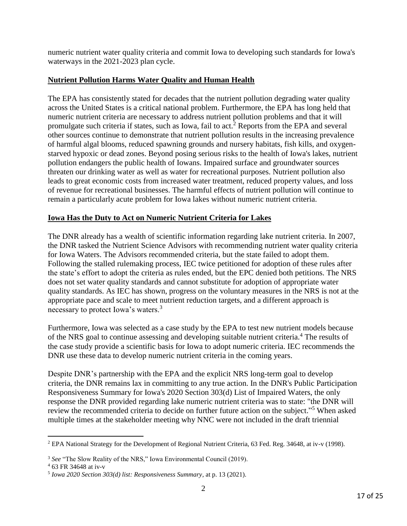numeric nutrient water quality criteria and commit Iowa to developing such standards for Iowa's waterways in the 2021-2023 plan cycle.

#### **Nutrient Pollution Harms Water Quality and Human Health**

The EPA has consistently stated for decades that the nutrient pollution degrading water quality across the United States is a critical national problem. Furthermore, the EPA has long held that numeric nutrient criteria are necessary to address nutrient pollution problems and that it will promulgate such criteria if states, such as Iowa, fail to act. $2$  Reports from the EPA and several other sources continue to demonstrate that nutrient pollution results in the increasing prevalence of harmful algal blooms, reduced spawning grounds and nursery habitats, fish kills, and oxygenstarved hypoxic or dead zones. Beyond posing serious risks to the health of Iowa's lakes, nutrient pollution endangers the public health of Iowans. Impaired surface and groundwater sources threaten our drinking water as well as water for recreational purposes. Nutrient pollution also leads to great economic costs from increased water treatment, reduced property values, and loss of revenue for recreational businesses. The harmful effects of nutrient pollution will continue to remain a particularly acute problem for Iowa lakes without numeric nutrient criteria.

#### **Iowa Has the Duty to Act on Numeric Nutrient Criteria for Lakes**

The DNR already has a wealth of scientific information regarding lake nutrient criteria. In 2007, the DNR tasked the Nutrient Science Advisors with recommending nutrient water quality criteria for Iowa Waters. The Advisors recommended criteria, but the state failed to adopt them. Following the stalled rulemaking process, IEC twice petitioned for adoption of these rules after the state's effort to adopt the criteria as rules ended, but the EPC denied both petitions. The NRS does not set water quality standards and cannot substitute for adoption of appropriate water quality standards. As IEC has shown, progress on the voluntary measures in the NRS is not at the appropriate pace and scale to meet nutrient reduction targets, and a different approach is necessary to protect Iowa's waters.<sup>3</sup>

Furthermore, Iowa was selected as a case study by the EPA to test new nutrient models because of the NRS goal to continue assessing and developing suitable nutrient criteria. <sup>4</sup> The results of the case study provide a scientific basis for Iowa to adopt numeric criteria. IEC recommends the DNR use these data to develop numeric nutrient criteria in the coming years.

Despite DNR's partnership with the EPA and the explicit NRS long-term goal to develop criteria, the DNR remains lax in committing to any true action. In the DNR's Public Participation Responsiveness Summary for Iowa's 2020 Section 303(d) List of Impaired Waters, the only response the DNR provided regarding lake numeric nutrient criteria was to state: "the DNR will review the recommended criteria to decide on further future action on the subject."<sup>5</sup> When asked multiple times at the stakeholder meeting why NNC were not included in the draft triennial

<sup>2</sup> EPA National Strategy for the Development of Regional Nutrient Criteria, 63 Fed. Reg. 34648, at iv-v (1998).

<sup>&</sup>lt;sup>3</sup> See "The Slow Reality of the NRS," Iowa Environmental Council (2019).

<sup>4</sup> 63 FR 34648 at iv-v

<sup>5</sup> *Iowa 2020 Section 303(d) list: Responsiveness Summary*, at p. 13 (2021).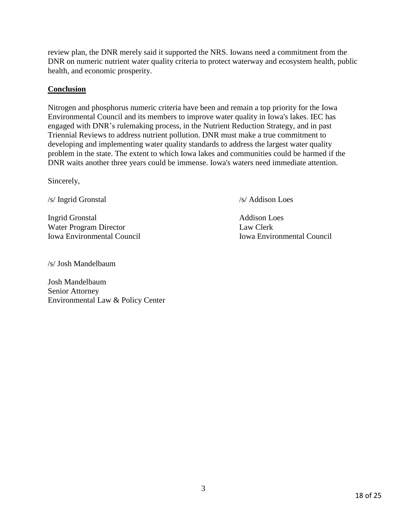review plan, the DNR merely said it supported the NRS. Iowans need a commitment from the DNR on numeric nutrient water quality criteria to protect waterway and ecosystem health, public health, and economic prosperity.

#### **Conclusion**

Nitrogen and phosphorus numeric criteria have been and remain a top priority for the Iowa Environmental Council and its members to improve water quality in Iowa's lakes. IEC has engaged with DNR's rulemaking process, in the Nutrient Reduction Strategy, and in past Triennial Reviews to address nutrient pollution. DNR must make a true commitment to developing and implementing water quality standards to address the largest water quality problem in the state. The extent to which Iowa lakes and communities could be harmed if the DNR waits another three years could be immense. Iowa's waters need immediate attention.

Sincerely,

/s/ Ingrid Gronstal /s/ Addison Loes

Ingrid Gronstal Addison Loes Water Program Director Law Clerk Iowa Environmental Council Iowa Environmental Council

/s/ Josh Mandelbaum

Josh Mandelbaum Senior Attorney Environmental Law & Policy Center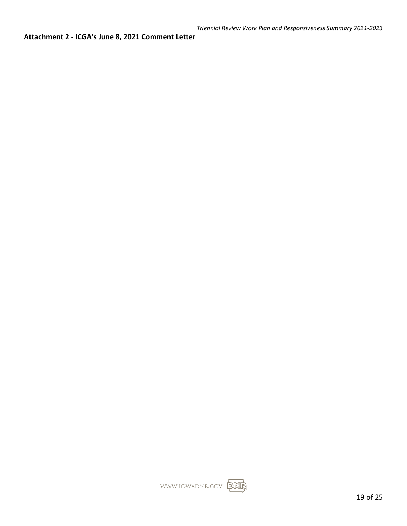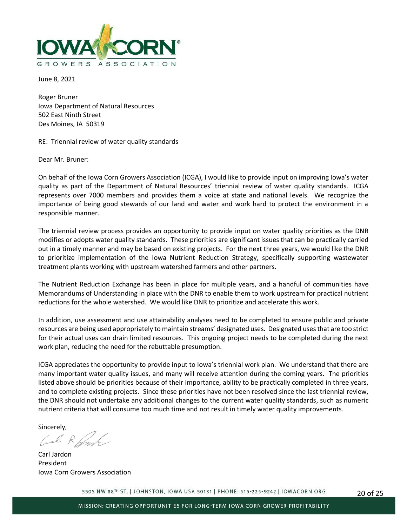

June 8, 2021

Roger Bruner Iowa Department of Natural Resources 502 East Ninth Street Des Moines, IA 50319

#### RE: Triennial review of water quality standards

Dear Mr. Bruner:

On behalf of the Iowa Corn Growers Association (ICGA), I would like to provide input on improving Iowa's water quality as part of the Department of Natural Resources' triennial review of water quality standards. ICGA represents over 7000 members and provides them a voice at state and national levels. We recognize the importance of being good stewards of our land and water and work hard to protect the environment in a responsible manner.

The triennial review process provides an opportunity to provide input on water quality priorities as the DNR modifies or adopts water quality standards. These priorities are significant issues that can be practically carried out in a timely manner and may be based on existing projects. For the next three years, we would like the DNR to prioritize implementation of the Iowa Nutrient Reduction Strategy, specifically supporting wastewater treatment plants working with upstream watershed farmers and other partners.

The Nutrient Reduction Exchange has been in place for multiple years, and a handful of communities have Memorandums of Understanding in place with the DNR to enable them to work upstream for practical nutrient reductions for the whole watershed. We would like DNR to prioritize and accelerate this work.

In addition, use assessment and use attainability analyses need to be completed to ensure public and private resources are being used appropriately to maintain streams' designated uses. Designated uses that are too strict for their actual uses can drain limited resources. This ongoing project needs to be completed during the next work plan, reducing the need for the rebuttable presumption.

ICGA appreciates the opportunity to provide input to Iowa's triennial work plan. We understand that there are many important water quality issues, and many will receive attention during the coming years. The priorities listed above should be priorities because of their importance, ability to be practically completed in three years, and to complete existing projects. Since these priorities have not been resolved since the last triennial review, the DNR should not undertake any additional changes to the current water quality standards, such as numeric nutrient criteria that will consume too much time and not result in timely water quality improvements.

Sincerely,<br> $\left(\begin{matrix} 1 & 1 \\ 1 & 1 \end{matrix}\right)$ 

Carl Jardon President Iowa Corn Growers Association

5505 NW 88TH ST. | JOHNSTON, IOWA USA 50131 | PHONE: 515-225-9242 | IOWACORN.ORG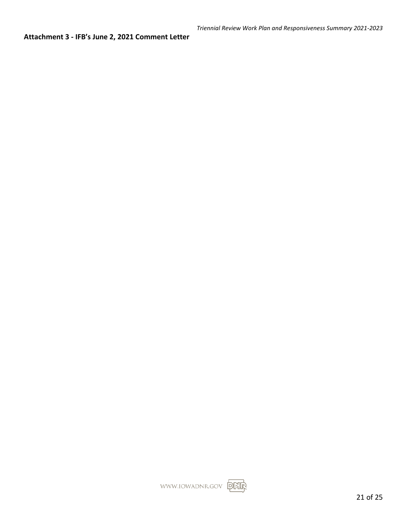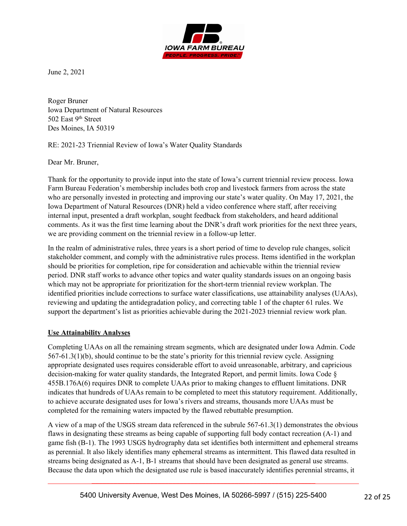

June 2, 2021

Roger Bruner Iowa Department of Natural Resources 502 East 9<sup>th</sup> Street Des Moines, IA 50319

#### RE: 2021-23 Triennial Review of Iowa's Water Quality Standards

Dear Mr. Bruner,

Thank for the opportunity to provide input into the state of Iowa's current triennial review process. Iowa Farm Bureau Federation's membership includes both crop and livestock farmers from across the state who are personally invested in protecting and improving our state's water quality. On May 17, 2021, the Iowa Department of Natural Resources (DNR) held a video conference where staff, after receiving internal input, presented a draft workplan, sought feedback from stakeholders, and heard additional comments. As it was the first time learning about the DNR's draft work priorities for the next three years, we are providing comment on the triennial review in a follow-up letter.

In the realm of administrative rules, three years is a short period of time to develop rule changes, solicit stakeholder comment, and comply with the administrative rules process. Items identified in the workplan should be priorities for completion, ripe for consideration and achievable within the triennial review period. DNR staff works to advance other topics and water quality standards issues on an ongoing basis which may not be appropriate for prioritization for the short-term triennial review workplan. The identified priorities include corrections to surface water classifications, use attainability analyses (UAAs), reviewing and updating the antidegradation policy, and correcting table 1 of the chapter 61 rules. We support the department's list as priorities achievable during the 2021-2023 triennial review work plan.

#### **Use Attainability Analyses**

Completing UAAs on all the remaining stream segments, which are designated under Iowa Admin. Code 567-61.3(1)(b), should continue to be the state's priority for this triennial review cycle. Assigning appropriate designated uses requires considerable effort to avoid unreasonable, arbitrary, and capricious decision-making for water quality standards, the Integrated Report, and permit limits. Iowa Code § 455B.176A(6) requires DNR to complete UAAs prior to making changes to effluent limitations. DNR indicates that hundreds of UAAs remain to be completed to meet this statutory requirement. Additionally, to achieve accurate designated uses for Iowa's rivers and streams, thousands more UAAs must be completed for the remaining waters impacted by the flawed rebuttable presumption.

A view of a map of the USGS stream data referenced in the subrule 567-61.3(1) demonstrates the obvious flaws in designating these streams as being capable of supporting full body contact recreation (A-1) and game fish (B-1). The 1993 USGS hydrography data set identifies both intermittent and ephemeral streams as perennial. It also likely identifies many ephemeral streams as intermittent. This flawed data resulted in streams being designated as A-1, B-1 streams that should have been designated as general use streams. Because the data upon which the designated use rule is based inaccurately identifies perennial streams, it

\_\_\_\_\_\_\_\_\_\_\_\_\_\_\_\_\_\_\_\_\_\_\_\_\_\_\_\_\_\_\_\_\_\_\_\_\_\_\_\_\_\_\_\_\_\_\_\_\_\_\_\_\_\_\_\_\_\_\_\_\_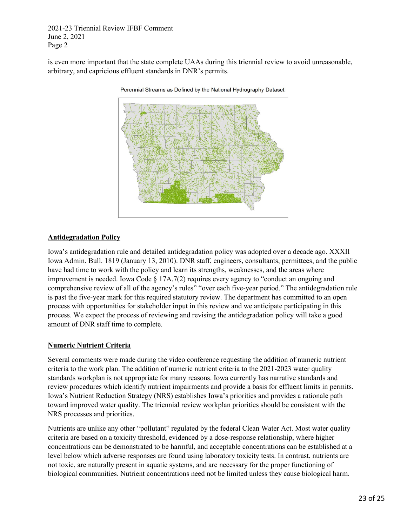2021-23 Triennial Review IFBF Comment June 2, 2021 Page 2

is even more important that the state complete UAAs during this triennial review to avoid unreasonable, arbitrary, and capricious effluent standards in DNR's permits.



Perennial Streams as Defined by the National Hydrography Dataset

#### **Antidegradation Policy**

Iowa's antidegradation rule and detailed antidegradation policy was adopted over a decade ago. XXXII Iowa Admin. Bull. 1819 (January 13, 2010). DNR staff, engineers, consultants, permittees, and the public have had time to work with the policy and learn its strengths, weaknesses, and the areas where improvement is needed. Iowa Code  $\S 17A.7(2)$  requires every agency to "conduct an ongoing and comprehensive review of all of the agency's rules" "over each five-year period." The antidegradation rule is past the five-year mark for this required statutory review. The department has committed to an open process with opportunities for stakeholder input in this review and we anticipate participating in this process. We expect the process of reviewing and revising the antidegradation policy will take a good amount of DNR staff time to complete.

#### **Numeric Nutrient Criteria**

Several comments were made during the video conference requesting the addition of numeric nutrient criteria to the work plan. The addition of numeric nutrient criteria to the 2021-2023 water quality standards workplan is not appropriate for many reasons. Iowa currently has narrative standards and review procedures which identify nutrient impairments and provide a basis for effluent limits in permits. Iowa's Nutrient Reduction Strategy (NRS) establishes Iowa's priorities and provides a rationale path toward improved water quality. The triennial review workplan priorities should be consistent with the NRS processes and priorities.

Nutrients are unlike any other "pollutant" regulated by the federal Clean Water Act. Most water quality criteria are based on a toxicity threshold, evidenced by a dose-response relationship, where higher concentrations can be demonstrated to be harmful, and acceptable concentrations can be established at a level below which adverse responses are found using laboratory toxicity tests. In contrast, nutrients are not toxic, are naturally present in aquatic systems, and are necessary for the proper functioning of biological communities. Nutrient concentrations need not be limited unless they cause biological harm.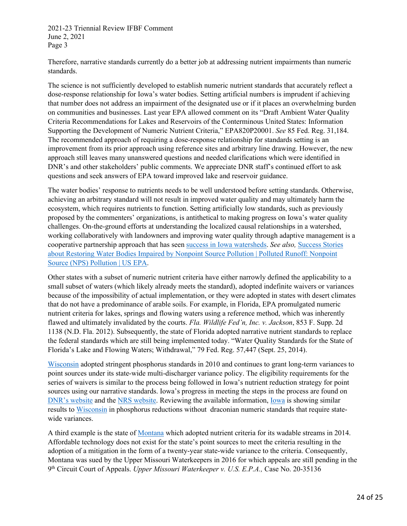2021-23 Triennial Review IFBF Comment June 2, 2021 Page 3

Therefore, narrative standards currently do a better job at addressing nutrient impairments than numeric standards.

The science is not sufficiently developed to establish numeric nutrient standards that accurately reflect a dose-response relationship for Iowa's water bodies. Setting artificial numbers is imprudent if achieving that number does not address an impairment of the designated use or if it places an overwhelming burden on communities and businesses. Last year EPA allowed comment on its "Draft Ambient Water Quality Criteria Recommendations for Lakes and Reservoirs of the Conterminous United States: Information Supporting the Development of Numeric Nutrient Criteria," EPA820P20001. *See* 85 Fed. Reg. 31,184. The recommended approach of requiring a dose-response relationship for standards setting is an improvement from its prior approach using reference sites and arbitrary line drawing. However, the new approach still leaves many unanswered questions and needed clarifications which were identified in DNR's and other stakeholders' public comments. We appreciate DNR staff's continued effort to ask questions and seek answers of EPA toward improved lake and reservoir guidance.

The water bodies' response to nutrients needs to be well understood before setting standards. Otherwise, achieving an arbitrary standard will not result in improved water quality and may ultimately harm the ecosystem, which requires nutrients to function. Setting artificially low standards, such as previously proposed by the commenters' organizations, is antithetical to making progress on Iowa's water quality challenges. On-the-ground efforts at understanding the localized causal relationships in a watershed, working collaboratively with landowners and improving water quality through adaptive management is a cooperative partnership approach that has seen [success in Iowa watersheds.](https://www.iowadnr.gov/Environmental-Protection/Water-Quality/Watershed-Improvement/Watershed-Successes) *See also,* [Success Stories](https://www.epa.gov/nps/success-stories-about-restoring-water-bodies-impaired-nonpoint-source-pollution)  [about Restoring Water Bodies Impaired by Nonpoint Source Pollution | Polluted Runoff: Nonpoint](https://www.epa.gov/nps/success-stories-about-restoring-water-bodies-impaired-nonpoint-source-pollution)  [Source \(NPS\) Pollution | US EPA.](https://www.epa.gov/nps/success-stories-about-restoring-water-bodies-impaired-nonpoint-source-pollution)

Other states with a subset of numeric nutrient criteria have either narrowly defined the applicability to a small subset of waters (which likely already meets the standard), adopted indefinite waivers or variances because of the impossibility of actual implementation, or they were adopted in states with desert climates that do not have a predominance of arable soils. For example, in Florida, EPA promulgated numeric nutrient criteria for lakes, springs and flowing waters using a reference method, which was inherently flawed and ultimately invalidated by the courts. *Fla. Wildlife Fed'n, Inc. v. Jackson*, 853 F. Supp. 2d 1138 (N.D. Fla. 2012). Subsequently, the state of Florida adopted narrative nutrient standards to replace the federal standards which are still being implemented today. "Water Quality Standards for the State of Florida's Lake and Flowing Waters; Withdrawal," 79 Fed. Reg. 57,447 (Sept. 25, 2014).

[Wisconsin](https://dnr.wisconsin.gov/topic/Wastewater/Phosphorus) adopted stringent phosphorus standards in 2010 and continues to grant long-term variances to point sources under its state-wide multi-discharger variance policy. The eligibility requirements for the series of waivers is similar to the process being followed in Iowa's nutrient reduction strategy for point sources using our narrative standards. Iowa's progress in meeting the steps in the process are found on [DNR's website](https://www.iowadnr.gov/Environmental-Protection/Water-Quality/Nutrient-Reduction-Strategy) and the [NRS website.](http://www.nutrientstrategy.iastate.edu/documents) Reviewing the available information, [Iowa](https://www.cals.iastate.edu/news/releases/nutrient-reduction-strategy-annual-report-shows-record-conservation-engagement-iowans) is showing similar results to [Wisconsin](https://dnr.wisconsin.gov/topic/SurfaceWater/NutrientStrategy.html) in phosphorus reductions without draconian numeric standards that require statewide variances.

A third example is the state of [Montana](https://www.epa.gov/wqs-tech/water-quality-standards-regulations-montana) which adopted nutrient criteria for its wadable streams in 2014. Affordable technology does not exist for the state's point sources to meet the criteria resulting in the adoption of a mitigation in the form of a twenty-year state-wide variance to the criteria. Consequently, Montana was sued by the Upper Missouri Waterkeepers in 2016 for which appeals are still pending in the 9th Circuit Court of Appeals. *Upper Missouri Waterkeeper v. U.S. E.P.A.,* Case No. 20-35136